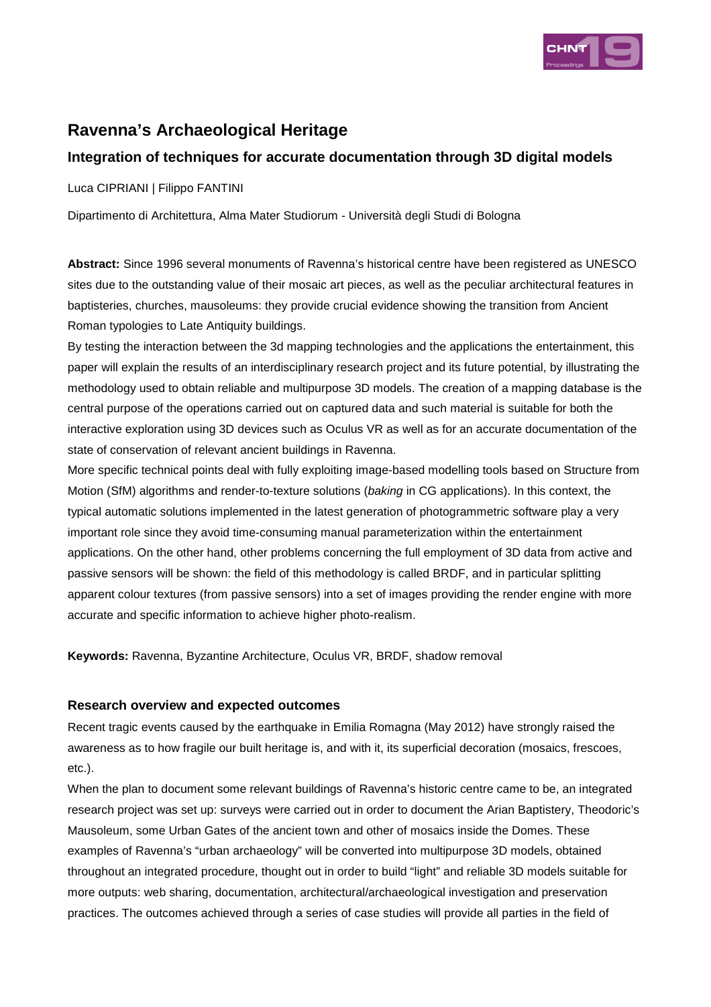

# **Ravenna's Archaeological Heritage**

## **Integration of techniques for accurate documentation through 3D digital models**

Luca CIPRIANI | Filippo FANTINI

Dipartimento di Architettura, Alma Mater Studiorum - Università degli Studi di Bologna

**Abstract:** Since 1996 several monuments of Ravenna's historical centre have been registered as UNESCO sites due to the outstanding value of their mosaic art pieces, as well as the peculiar architectural features in baptisteries, churches, mausoleums: they provide crucial evidence showing the transition from Ancient Roman typologies to Late Antiquity buildings.

By testing the interaction between the 3d mapping technologies and the applications the entertainment, this paper will explain the results of an interdisciplinary research project and its future potential, by illustrating the methodology used to obtain reliable and multipurpose 3D models. The creation of a mapping database is the central purpose of the operations carried out on captured data and such material is suitable for both the interactive exploration using 3D devices such as Oculus VR as well as for an accurate documentation of the state of conservation of relevant ancient buildings in Ravenna.

More specific technical points deal with fully exploiting image-based modelling tools based on Structure from Motion (SfM) algorithms and render-to-texture solutions (baking in CG applications). In this context, the typical automatic solutions implemented in the latest generation of photogrammetric software play a very important role since they avoid time-consuming manual parameterization within the entertainment applications. On the other hand, other problems concerning the full employment of 3D data from active and passive sensors will be shown: the field of this methodology is called BRDF, and in particular splitting apparent colour textures (from passive sensors) into a set of images providing the render engine with more accurate and specific information to achieve higher photo-realism.

**Keywords:** Ravenna, Byzantine Architecture, Oculus VR, BRDF, shadow removal

## **Research overview and expected outcomes**

Recent tragic events caused by the earthquake in Emilia Romagna (May 2012) have strongly raised the awareness as to how fragile our built heritage is, and with it, its superficial decoration (mosaics, frescoes, etc.).

When the plan to document some relevant buildings of Ravenna's historic centre came to be, an integrated research project was set up: surveys were carried out in order to document the Arian Baptistery, Theodoric's Mausoleum, some Urban Gates of the ancient town and other of mosaics inside the Domes. These examples of Ravenna's "urban archaeology" will be converted into multipurpose 3D models, obtained throughout an integrated procedure, thought out in order to build "light" and reliable 3D models suitable for more outputs: web sharing, documentation, architectural/archaeological investigation and preservation practices. The outcomes achieved through a series of case studies will provide all parties in the field of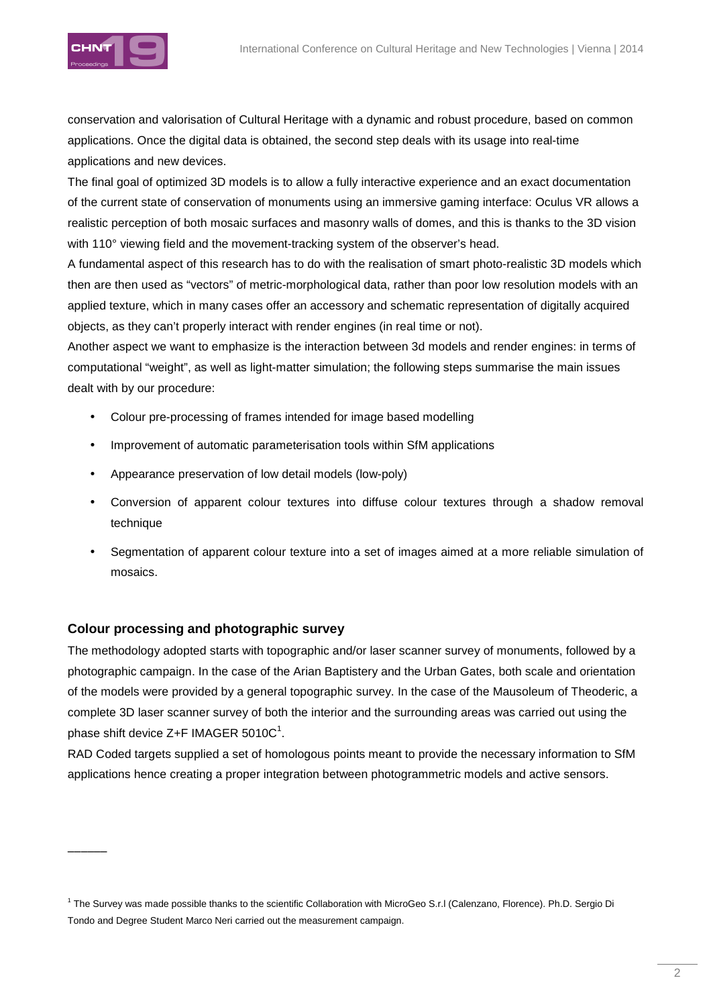



conservation and valorisation of Cultural Heritage with a dynamic and robust procedure, based on common applications. Once the digital data is obtained, the second step deals with its usage into real-time applications and new devices.

The final goal of optimized 3D models is to allow a fully interactive experience and an exact documentation of the current state of conservation of monuments using an immersive gaming interface: Oculus VR allows a realistic perception of both mosaic surfaces and masonry walls of domes, and this is thanks to the 3D vision with 110° viewing field and the movement-tracking system of the observer's head.

A fundamental aspect of this research has to do with the realisation of smart photo-realistic 3D models which then are then used as "vectors" of metric-morphological data, rather than poor low resolution models with an applied texture, which in many cases offer an accessory and schematic representation of digitally acquired objects, as they can't properly interact with render engines (in real time or not).

Another aspect we want to emphasize is the interaction between 3d models and render engines: in terms of computational "weight", as well as light-matter simulation; the following steps summarise the main issues dealt with by our procedure:

- Colour pre-processing of frames intended for image based modelling
- Improvement of automatic parameterisation tools within SfM applications
- Appearance preservation of low detail models (low-poly)
- Conversion of apparent colour textures into diffuse colour textures through a shadow removal technique
- Segmentation of apparent colour texture into a set of images aimed at a more reliable simulation of mosaics.

## **Colour processing and photographic survey**

 $\overline{\phantom{a}}$ 

The methodology adopted starts with topographic and/or laser scanner survey of monuments, followed by a photographic campaign. In the case of the Arian Baptistery and the Urban Gates, both scale and orientation of the models were provided by a general topographic survey. In the case of the Mausoleum of Theoderic, a complete 3D laser scanner survey of both the interior and the surrounding areas was carried out using the phase shift device Z+F IMAGER 5010C $^{\rm 1}$ .

RAD Coded targets supplied a set of homologous points meant to provide the necessary information to SfM applications hence creating a proper integration between photogrammetric models and active sensors.

<sup>&</sup>lt;sup>1</sup> The Survey was made possible thanks to the scientific Collaboration with MicroGeo S.r.l (Calenzano, Florence). Ph.D. Sergio Di Tondo and Degree Student Marco Neri carried out the measurement campaign.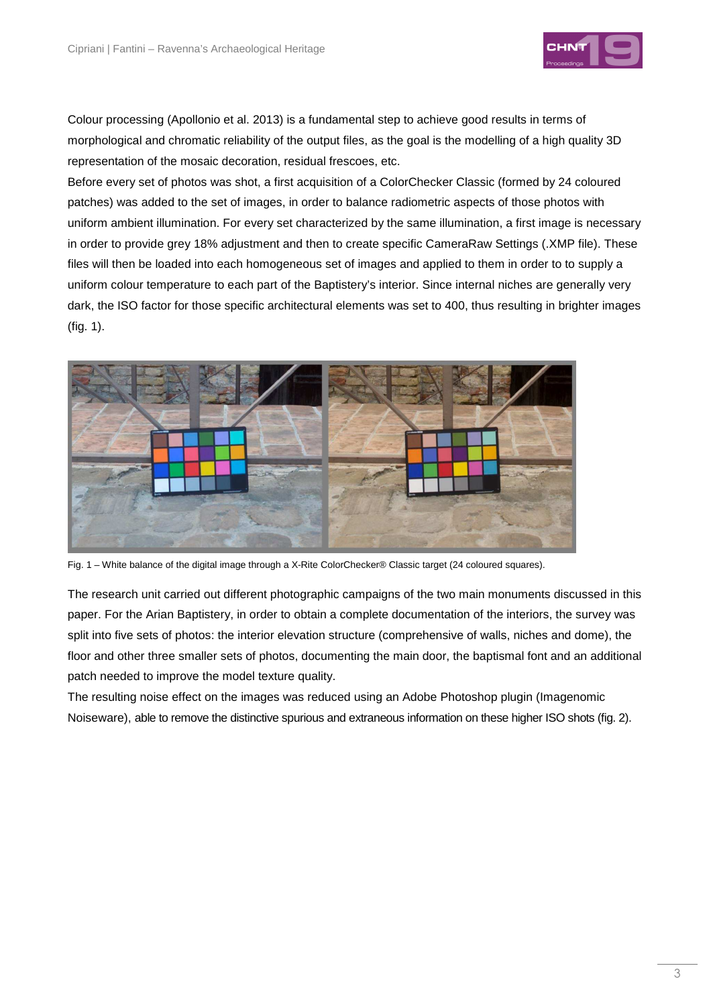

Colour processing (Apollonio et al. 2013) is a fundamental step to achieve good results in terms of morphological and chromatic reliability of the output files, as the goal is the modelling of a high quality 3D representation of the mosaic decoration, residual frescoes, etc.

Before every set of photos was shot, a first acquisition of a ColorChecker Classic (formed by 24 coloured patches) was added to the set of images, in order to balance radiometric aspects of those photos with uniform ambient illumination. For every set characterized by the same illumination, a first image is necessary in order to provide grey 18% adjustment and then to create specific CameraRaw Settings (.XMP file). These files will then be loaded into each homogeneous set of images and applied to them in order to to supply a uniform colour temperature to each part of the Baptistery's interior. Since internal niches are generally very dark, the ISO factor for those specific architectural elements was set to 400, thus resulting in brighter images (fig. 1).



Fig. 1 – White balance of the digital image through a X-Rite ColorChecker® Classic target (24 coloured squares).

The research unit carried out different photographic campaigns of the two main monuments discussed in this paper. For the Arian Baptistery, in order to obtain a complete documentation of the interiors, the survey was split into five sets of photos: the interior elevation structure (comprehensive of walls, niches and dome), the floor and other three smaller sets of photos, documenting the main door, the baptismal font and an additional patch needed to improve the model texture quality.

The resulting noise effect on the images was reduced using an Adobe Photoshop plugin (Imagenomic Noiseware), able to remove the distinctive spurious and extraneous information on these higher ISO shots (fig. 2).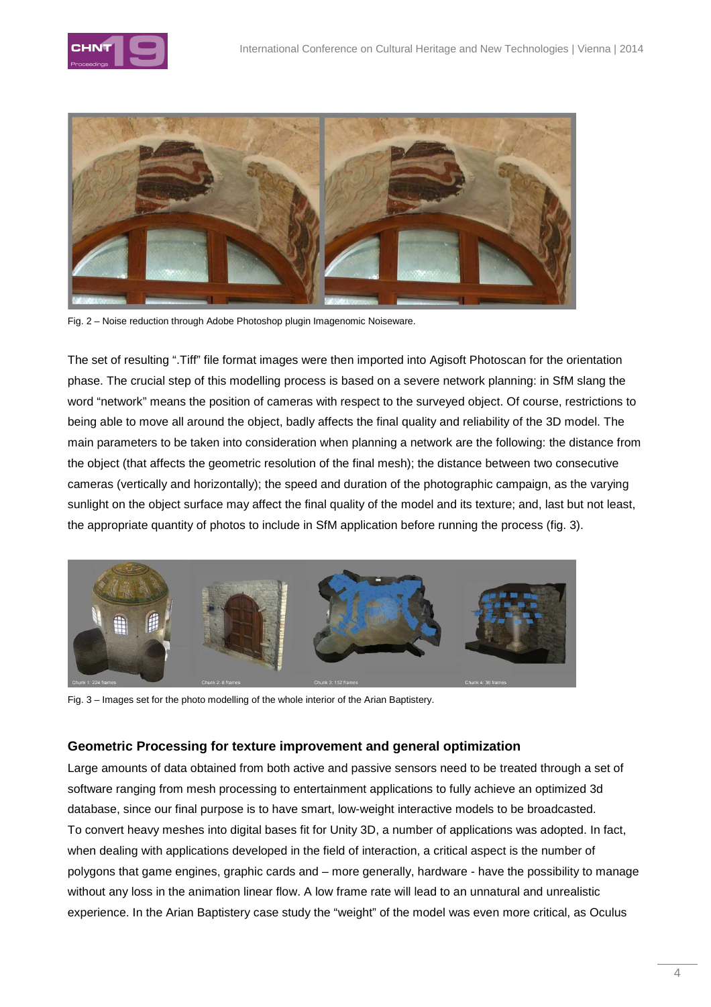



Fig. 2 – Noise reduction through Adobe Photoshop plugin Imagenomic Noiseware.

The set of resulting ".Tiff" file format images were then imported into Agisoft Photoscan for the orientation phase. The crucial step of this modelling process is based on a severe network planning: in SfM slang the word "network" means the position of cameras with respect to the surveyed object. Of course, restrictions to being able to move all around the object, badly affects the final quality and reliability of the 3D model. The main parameters to be taken into consideration when planning a network are the following: the distance from the object (that affects the geometric resolution of the final mesh); the distance between two consecutive cameras (vertically and horizontally); the speed and duration of the photographic campaign, as the varying sunlight on the object surface may affect the final quality of the model and its texture; and, last but not least, the appropriate quantity of photos to include in SfM application before running the process (fig. 3).



Fig. 3 – Images set for the photo modelling of the whole interior of the Arian Baptistery.

## **Geometric Processing for texture improvement and general optimization**

Large amounts of data obtained from both active and passive sensors need to be treated through a set of software ranging from mesh processing to entertainment applications to fully achieve an optimized 3d database, since our final purpose is to have smart, low-weight interactive models to be broadcasted. To convert heavy meshes into digital bases fit for Unity 3D, a number of applications was adopted. In fact, when dealing with applications developed in the field of interaction, a critical aspect is the number of polygons that game engines, graphic cards and – more generally, hardware - have the possibility to manage without any loss in the animation linear flow. A low frame rate will lead to an unnatural and unrealistic experience. In the Arian Baptistery case study the "weight" of the model was even more critical, as Oculus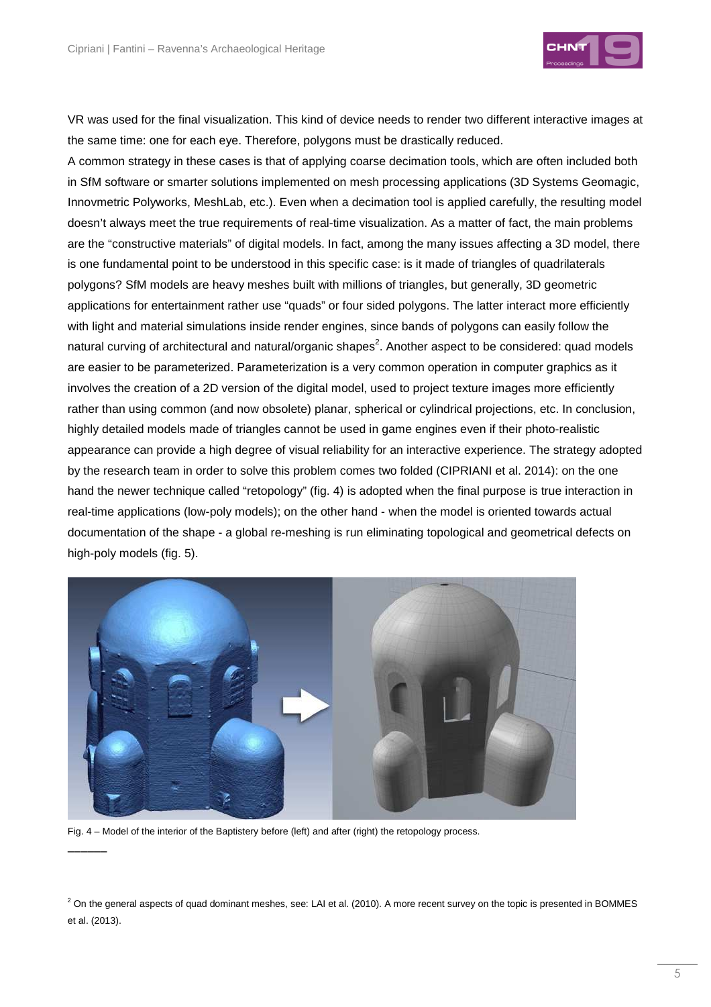

VR was used for the final visualization. This kind of device needs to render two different interactive images at the same time: one for each eye. Therefore, polygons must be drastically reduced.

A common strategy in these cases is that of applying coarse decimation tools, which are often included both in SfM software or smarter solutions implemented on mesh processing applications (3D Systems Geomagic, Innovmetric Polyworks, MeshLab, etc.). Even when a decimation tool is applied carefully, the resulting model doesn't always meet the true requirements of real-time visualization. As a matter of fact, the main problems are the "constructive materials" of digital models. In fact, among the many issues affecting a 3D model, there is one fundamental point to be understood in this specific case: is it made of triangles of quadrilaterals polygons? SfM models are heavy meshes built with millions of triangles, but generally, 3D geometric applications for entertainment rather use "quads" or four sided polygons. The latter interact more efficiently with light and material simulations inside render engines, since bands of polygons can easily follow the natural curving of architectural and natural/organic shapes<sup>2</sup>. Another aspect to be considered: quad models are easier to be parameterized. Parameterization is a very common operation in computer graphics as it involves the creation of a 2D version of the digital model, used to project texture images more efficiently rather than using common (and now obsolete) planar, spherical or cylindrical projections, etc. In conclusion, highly detailed models made of triangles cannot be used in game engines even if their photo-realistic appearance can provide a high degree of visual reliability for an interactive experience. The strategy adopted by the research team in order to solve this problem comes two folded (CIPRIANI et al. 2014): on the one hand the newer technique called "retopology" (fig. 4) is adopted when the final purpose is true interaction in real-time applications (low-poly models); on the other hand - when the model is oriented towards actual documentation of the shape - a global re-meshing is run eliminating topological and geometrical defects on high-poly models (fig. 5).



Fig. 4 – Model of the interior of the Baptistery before (left) and after (right) the retopology process.

 $\overline{\phantom{a}}$ 

 $^2$  On the general aspects of quad dominant meshes, see: LAI et al. (2010). A more recent survey on the topic is presented in BOMMES et al. (2013).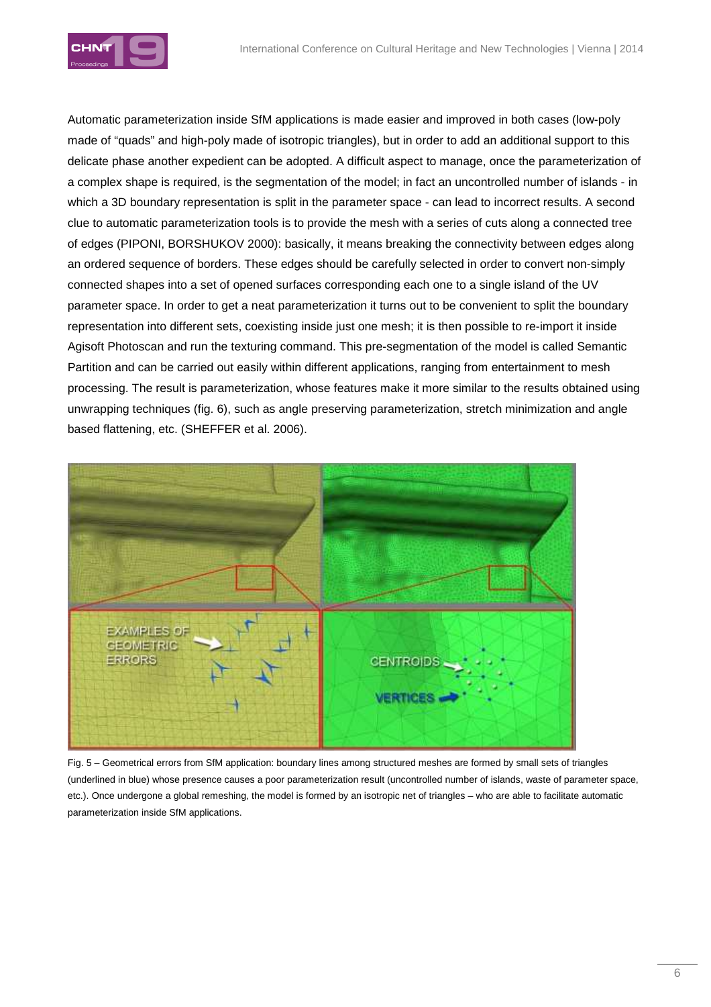

Automatic parameterization inside SfM applications is made easier and improved in both cases (low-poly made of "quads" and high-poly made of isotropic triangles), but in order to add an additional support to this delicate phase another expedient can be adopted. A difficult aspect to manage, once the parameterization of a complex shape is required, is the segmentation of the model; in fact an uncontrolled number of islands - in which a 3D boundary representation is split in the parameter space - can lead to incorrect results. A second clue to automatic parameterization tools is to provide the mesh with a series of cuts along a connected tree of edges (PIPONI, BORSHUKOV 2000): basically, it means breaking the connectivity between edges along an ordered sequence of borders. These edges should be carefully selected in order to convert non-simply connected shapes into a set of opened surfaces corresponding each one to a single island of the UV parameter space. In order to get a neat parameterization it turns out to be convenient to split the boundary representation into different sets, coexisting inside just one mesh; it is then possible to re-import it inside Agisoft Photoscan and run the texturing command. This pre-segmentation of the model is called Semantic Partition and can be carried out easily within different applications, ranging from entertainment to mesh processing. The result is parameterization, whose features make it more similar to the results obtained using unwrapping techniques (fig. 6), such as angle preserving parameterization, stretch minimization and angle based flattening, etc. (SHEFFER et al. 2006).



Fig. 5 – Geometrical errors from SfM application: boundary lines among structured meshes are formed by small sets of triangles (underlined in blue) whose presence causes a poor parameterization result (uncontrolled number of islands, waste of parameter space, etc.). Once undergone a global remeshing, the model is formed by an isotropic net of triangles – who are able to facilitate automatic parameterization inside SfM applications.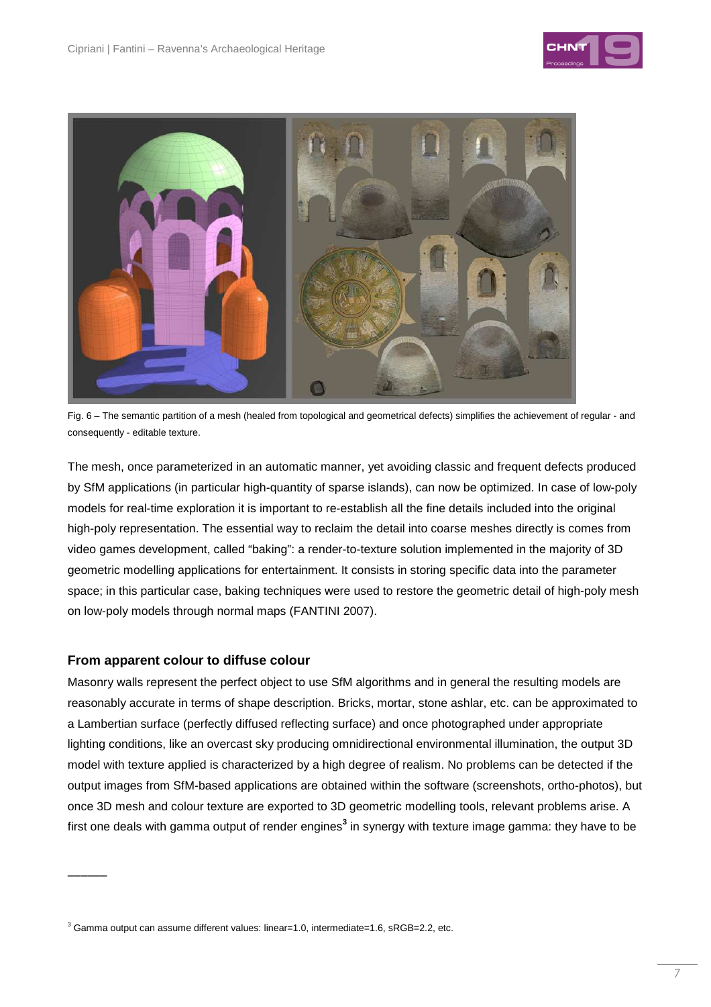



Fig. 6 – The semantic partition of a mesh (healed from topological and geometrical defects) simplifies the achievement of regular - and consequently - editable texture.

The mesh, once parameterized in an automatic manner, yet avoiding classic and frequent defects produced by SfM applications (in particular high-quantity of sparse islands), can now be optimized. In case of low-poly models for real-time exploration it is important to re-establish all the fine details included into the original high-poly representation. The essential way to reclaim the detail into coarse meshes directly is comes from video games development, called "baking": a render-to-texture solution implemented in the majority of 3D geometric modelling applications for entertainment. It consists in storing specific data into the parameter space; in this particular case, baking techniques were used to restore the geometric detail of high-poly mesh on low-poly models through normal maps (FANTINI 2007).

## **From apparent colour to diffuse colour**

 $\overline{\phantom{a}}$ 

Masonry walls represent the perfect object to use SfM algorithms and in general the resulting models are reasonably accurate in terms of shape description. Bricks, mortar, stone ashlar, etc. can be approximated to a Lambertian surface (perfectly diffused reflecting surface) and once photographed under appropriate lighting conditions, like an overcast sky producing omnidirectional environmental illumination, the output 3D model with texture applied is characterized by a high degree of realism. No problems can be detected if the output images from SfM-based applications are obtained within the software (screenshots, ortho-photos), but once 3D mesh and colour texture are exported to 3D geometric modelling tools, relevant problems arise. A first one deals with gamma output of render engines<sup>3</sup> in synergy with texture image gamma: they have to be

 $3$  Gamma output can assume different values: linear=1.0, intermediate=1.6, sRGB=2.2, etc.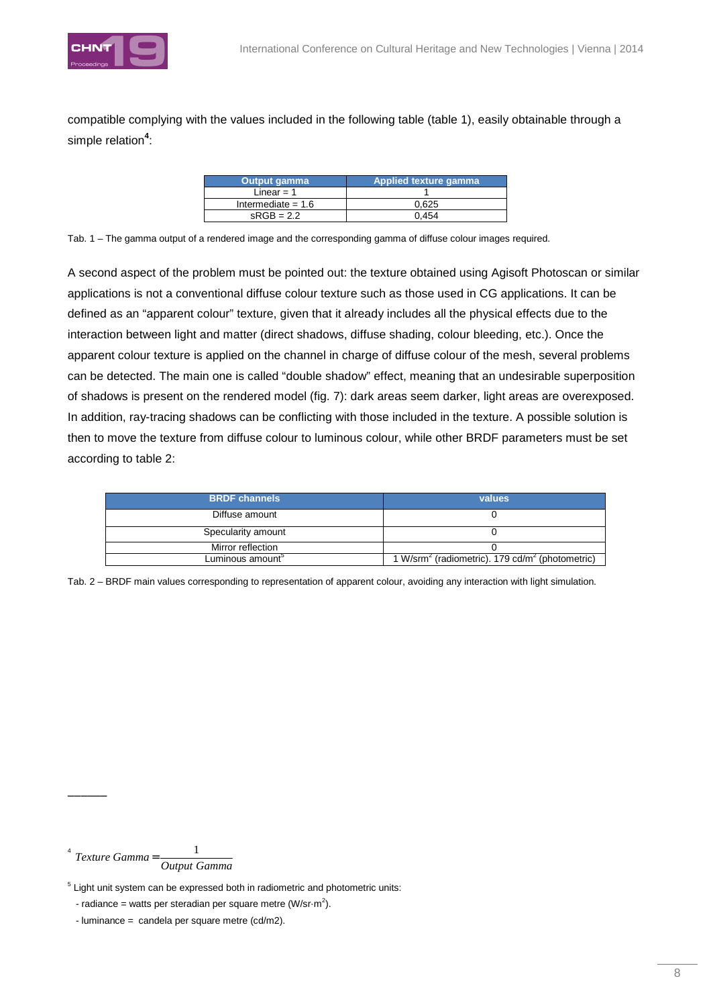

compatible complying with the values included in the following table (table 1), easily obtainable through a simple relation<sup>4</sup>:

| <b>Output gamma</b>  | Applied texture gamma |
|----------------------|-----------------------|
| Linear = $1$         |                       |
| Intermediate = $1.6$ | 0.625                 |
| $sRGB = 2.2$         | 0.454                 |

Tab. 1 – The gamma output of a rendered image and the corresponding gamma of diffuse colour images required.

A second aspect of the problem must be pointed out: the texture obtained using Agisoft Photoscan or similar applications is not a conventional diffuse colour texture such as those used in CG applications. It can be defined as an "apparent colour" texture, given that it already includes all the physical effects due to the interaction between light and matter (direct shadows, diffuse shading, colour bleeding, etc.). Once the apparent colour texture is applied on the channel in charge of diffuse colour of the mesh, several problems can be detected. The main one is called "double shadow" effect, meaning that an undesirable superposition of shadows is present on the rendered model (fig. 7): dark areas seem darker, light areas are overexposed. In addition, ray-tracing shadows can be conflicting with those included in the texture. A possible solution is then to move the texture from diffuse colour to luminous colour, while other BRDF parameters must be set according to table 2:

| <b>BRDF</b> channels         | values                                                                  |
|------------------------------|-------------------------------------------------------------------------|
| Diffuse amount               |                                                                         |
| Specularity amount           |                                                                         |
| Mirror reflection            |                                                                         |
| Luminous amount <sup>5</sup> | 1 W/srm <sup>2</sup> (radiometric). 179 cd/m <sup>2</sup> (photometric) |

Tab. 2 – BRDF main values corresponding to representation of apparent colour, avoiding any interaction with light simulation.

4 *Output Gamma*  $T$ *exture*  $Gamma = \frac{1}{2}$ 

 $\overline{\phantom{a}}$ 

<sup>&</sup>lt;sup>5</sup> Light unit system can be expressed both in radiometric and photometric units:

<sup>-</sup> radiance = watts per steradian per square metre (W/sr $\cdot$ m<sup>2</sup>).

<sup>-</sup> luminance = candela per square metre (cd/m2).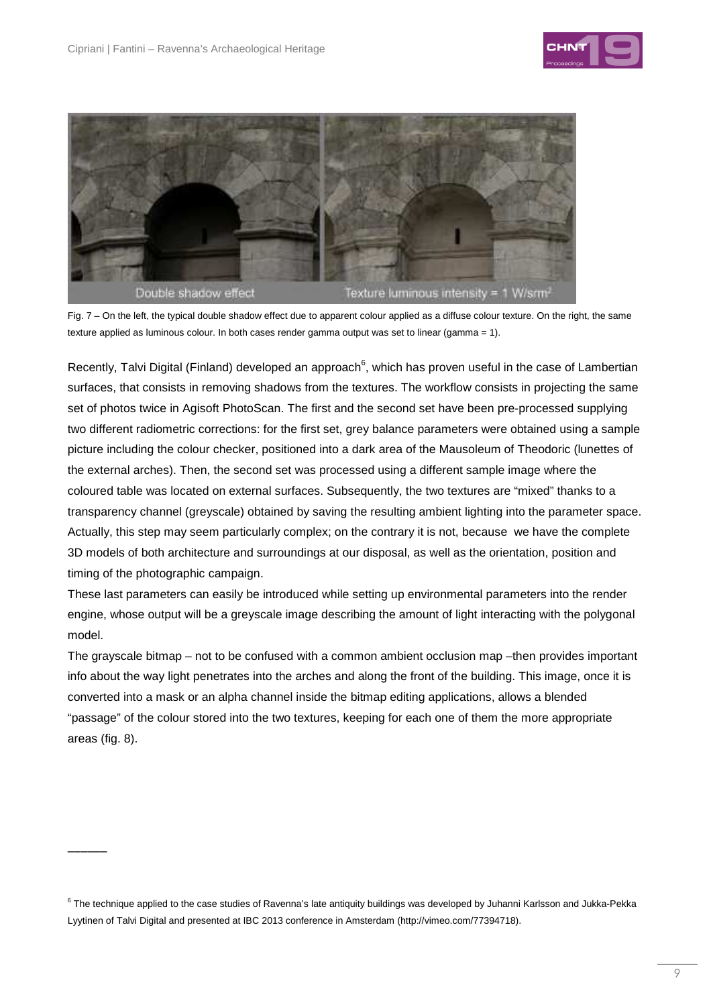$\overline{\phantom{a}}$ 





Fig. 7 – On the left, the typical double shadow effect due to apparent colour applied as a diffuse colour texture. On the right, the same texture applied as luminous colour. In both cases render gamma output was set to linear (gamma = 1).

Recently, Talvi Digital (Finland) developed an approach $^6$ , which has proven useful in the case of Lambertian surfaces, that consists in removing shadows from the textures. The workflow consists in projecting the same set of photos twice in Agisoft PhotoScan. The first and the second set have been pre-processed supplying two different radiometric corrections: for the first set, grey balance parameters were obtained using a sample picture including the colour checker, positioned into a dark area of the Mausoleum of Theodoric (lunettes of the external arches). Then, the second set was processed using a different sample image where the coloured table was located on external surfaces. Subsequently, the two textures are "mixed" thanks to a transparency channel (greyscale) obtained by saving the resulting ambient lighting into the parameter space. Actually, this step may seem particularly complex; on the contrary it is not, because we have the complete 3D models of both architecture and surroundings at our disposal, as well as the orientation, position and timing of the photographic campaign.

These last parameters can easily be introduced while setting up environmental parameters into the render engine, whose output will be a greyscale image describing the amount of light interacting with the polygonal model.

The grayscale bitmap – not to be confused with a common ambient occlusion map –then provides important info about the way light penetrates into the arches and along the front of the building. This image, once it is converted into a mask or an alpha channel inside the bitmap editing applications, allows a blended "passage" of the colour stored into the two textures, keeping for each one of them the more appropriate areas (fig. 8).

 $^6$  The technique applied to the case studies of Ravenna's late antiquity buildings was developed by Juhanni Karlsson and Jukka-Pekka Lyytinen of Talvi Digital and presented at IBC 2013 conference in Amsterdam (http://vimeo.com/77394718).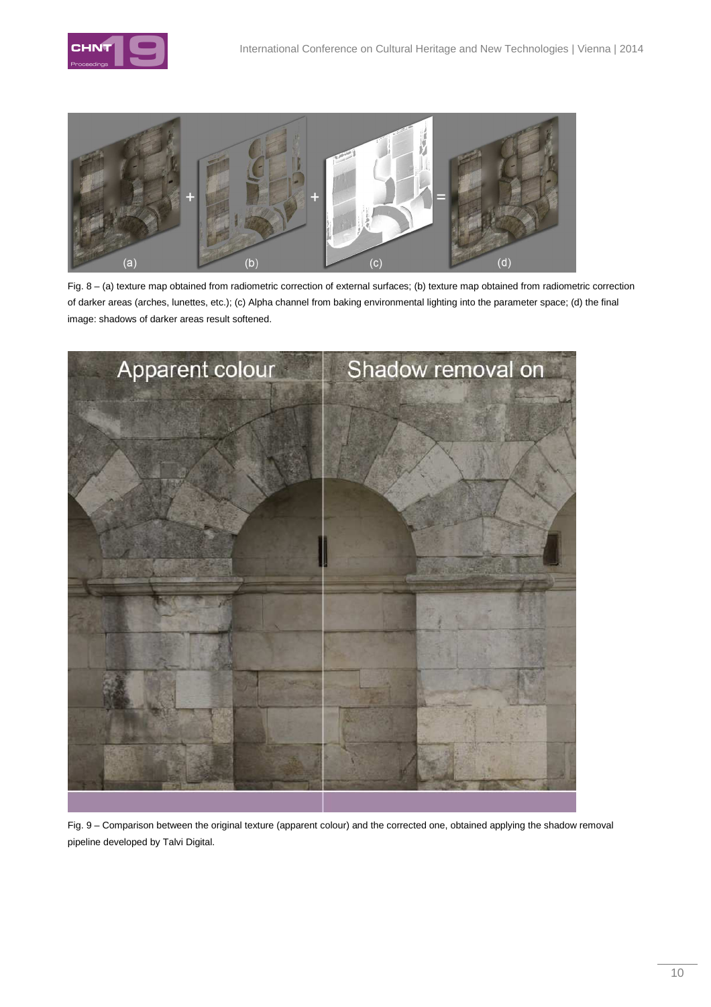



Fig. 8 – (a) texture map obtained from radiometric correction of external surfaces; (b) texture map obtained from radiometric correction of darker areas (arches, lunettes, etc.); (c) Alpha channel from baking environmental lighting into the parameter space; (d) the final image: shadows of darker areas result softened.



Fig. 9 – Comparison between the original texture (apparent colour) and the corrected one, obtained applying the shadow removal pipeline developed by Talvi Digital.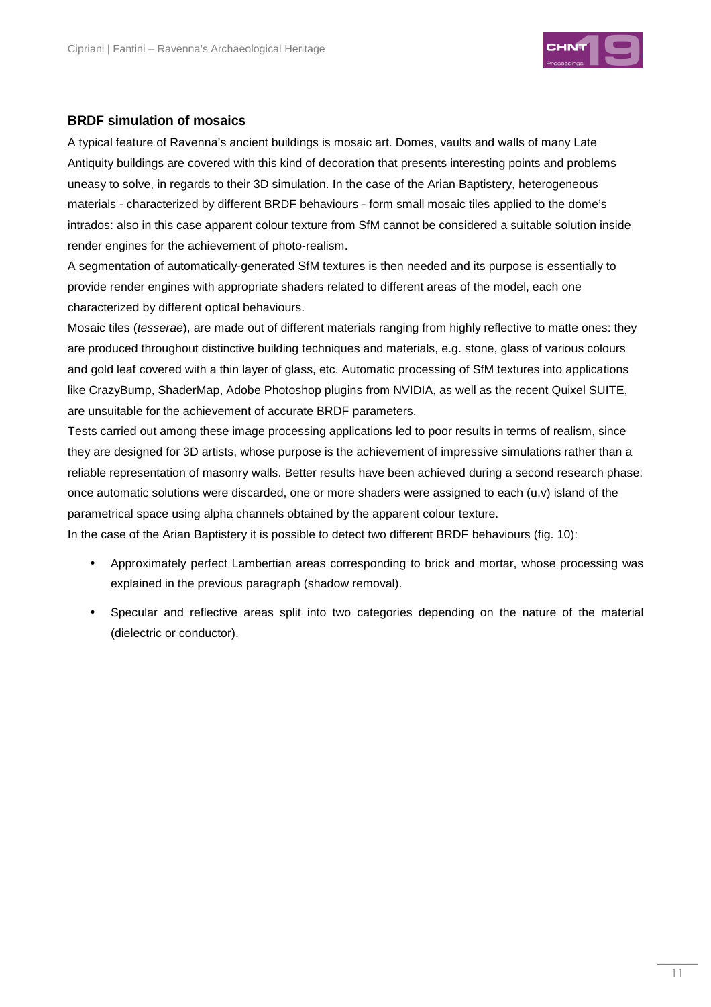

## **BRDF simulation of mosaics**

A typical feature of Ravenna's ancient buildings is mosaic art. Domes, vaults and walls of many Late Antiquity buildings are covered with this kind of decoration that presents interesting points and problems uneasy to solve, in regards to their 3D simulation. In the case of the Arian Baptistery, heterogeneous materials - characterized by different BRDF behaviours - form small mosaic tiles applied to the dome's intrados: also in this case apparent colour texture from SfM cannot be considered a suitable solution inside render engines for the achievement of photo-realism.

A segmentation of automatically-generated SfM textures is then needed and its purpose is essentially to provide render engines with appropriate shaders related to different areas of the model, each one characterized by different optical behaviours.

Mosaic tiles (tesserae), are made out of different materials ranging from highly reflective to matte ones: they are produced throughout distinctive building techniques and materials, e.g. stone, glass of various colours and gold leaf covered with a thin layer of glass, etc. Automatic processing of SfM textures into applications like CrazyBump, ShaderMap, Adobe Photoshop plugins from NVIDIA, as well as the recent Quixel SUITE, are unsuitable for the achievement of accurate BRDF parameters.

Tests carried out among these image processing applications led to poor results in terms of realism, since they are designed for 3D artists, whose purpose is the achievement of impressive simulations rather than a reliable representation of masonry walls. Better results have been achieved during a second research phase: once automatic solutions were discarded, one or more shaders were assigned to each  $(u,v)$  island of the parametrical space using alpha channels obtained by the apparent colour texture.

In the case of the Arian Baptistery it is possible to detect two different BRDF behaviours (fig. 10):

- Approximately perfect Lambertian areas corresponding to brick and mortar, whose processing was explained in the previous paragraph (shadow removal).
- Specular and reflective areas split into two categories depending on the nature of the material (dielectric or conductor).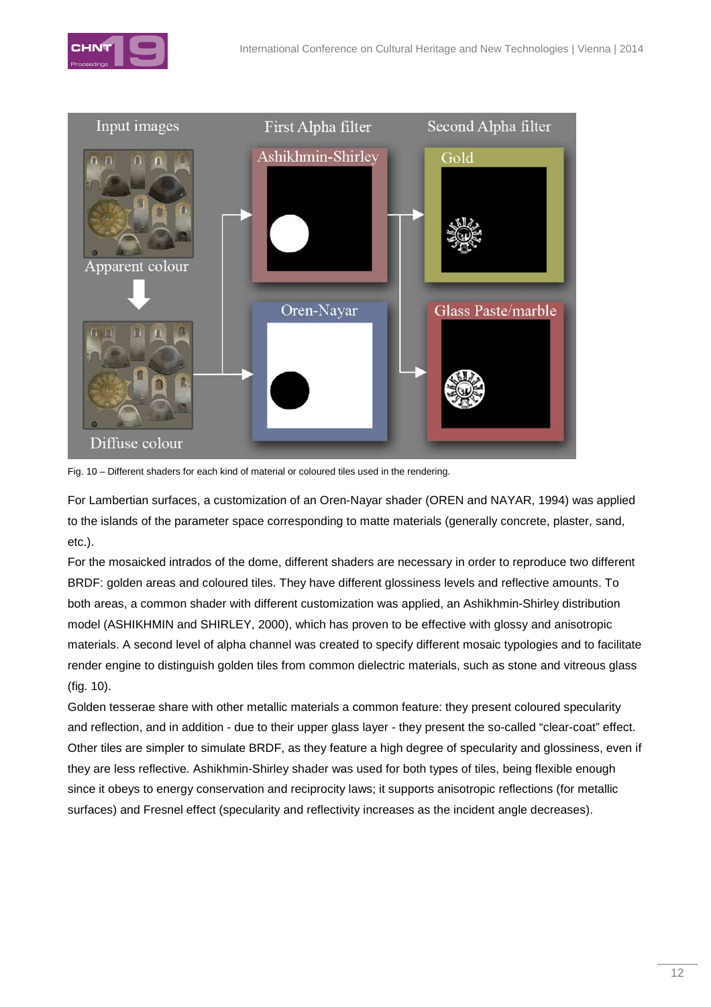



Fig. 10 – Different shaders for each kind of material or coloured tiles used in the rendering.

For Lambertian surfaces, a customization of an Oren-Nayar shader (OREN and NAYAR, 1994) was applied to the islands of the parameter space corresponding to matte materials (generally concrete, plaster, sand, etc.).

For the mosaicked intrados of the dome, different shaders are necessary in order to reproduce two different BRDF: golden areas and coloured tiles. They have different glossiness levels and reflective amounts. To both areas, a common shader with different customization was applied, an Ashikhmin-Shirley distribution model (ASHIKHMIN and SHIRLEY, 2000), which has proven to be effective with glossy and anisotropic materials. A second level of alpha channel was created to specify different mosaic typologies and to facilitate render engine to distinguish golden tiles from common dielectric materials, such as stone and vitreous glass (fig. 10).

Golden tesserae share with other metallic materials a common feature: they present coloured specularity and reflection, and in addition - due to their upper glass layer - they present the so-called "clear-coat" effect. Other tiles are simpler to simulate BRDF, as they feature a high degree of specularity and glossiness, even if they are less reflective. Ashikhmin-Shirley shader was used for both types of tiles, being flexible enough since it obeys to energy conservation and reciprocity laws; it supports anisotropic reflections (for metallic surfaces) and Fresnel effect (specularity and reflectivity increases as the incident angle decreases).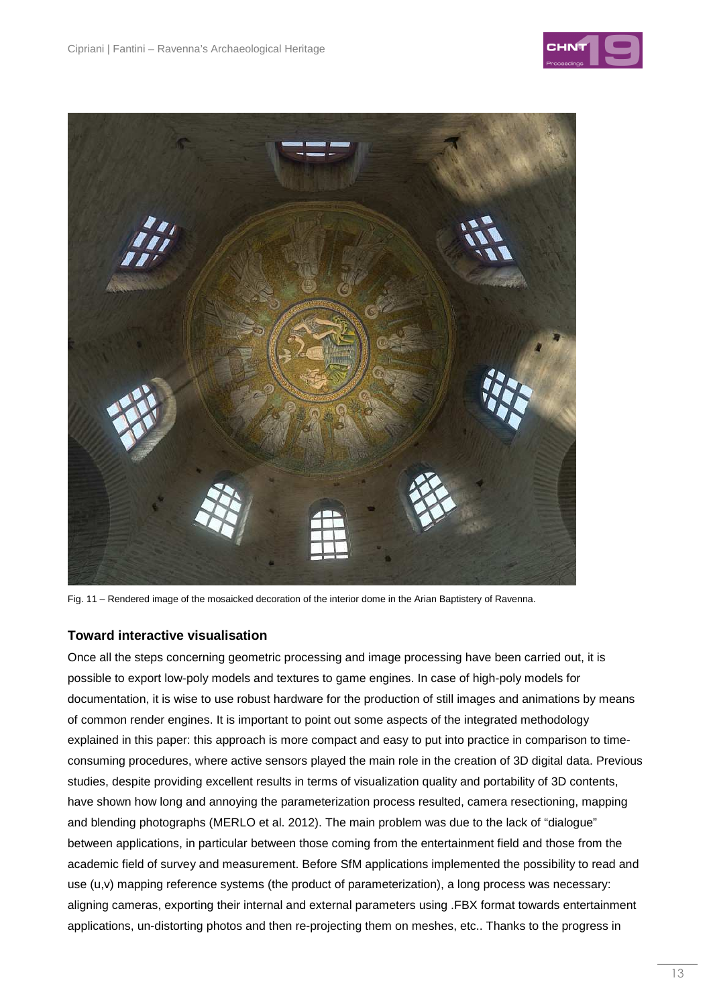



Fig. 11 – Rendered image of the mosaicked decoration of the interior dome in the Arian Baptistery of Ravenna.

## **Toward interactive visualisation**

Once all the steps concerning geometric processing and image processing have been carried out, it is possible to export low-poly models and textures to game engines. In case of high-poly models for documentation, it is wise to use robust hardware for the production of still images and animations by means of common render engines. It is important to point out some aspects of the integrated methodology explained in this paper: this approach is more compact and easy to put into practice in comparison to timeconsuming procedures, where active sensors played the main role in the creation of 3D digital data. Previous studies, despite providing excellent results in terms of visualization quality and portability of 3D contents, have shown how long and annoying the parameterization process resulted, camera resectioning, mapping and blending photographs (MERLO et al. 2012). The main problem was due to the lack of "dialogue" between applications, in particular between those coming from the entertainment field and those from the academic field of survey and measurement. Before SfM applications implemented the possibility to read and use (u,v) mapping reference systems (the product of parameterization), a long process was necessary: aligning cameras, exporting their internal and external parameters using .FBX format towards entertainment applications, un-distorting photos and then re-projecting them on meshes, etc.. Thanks to the progress in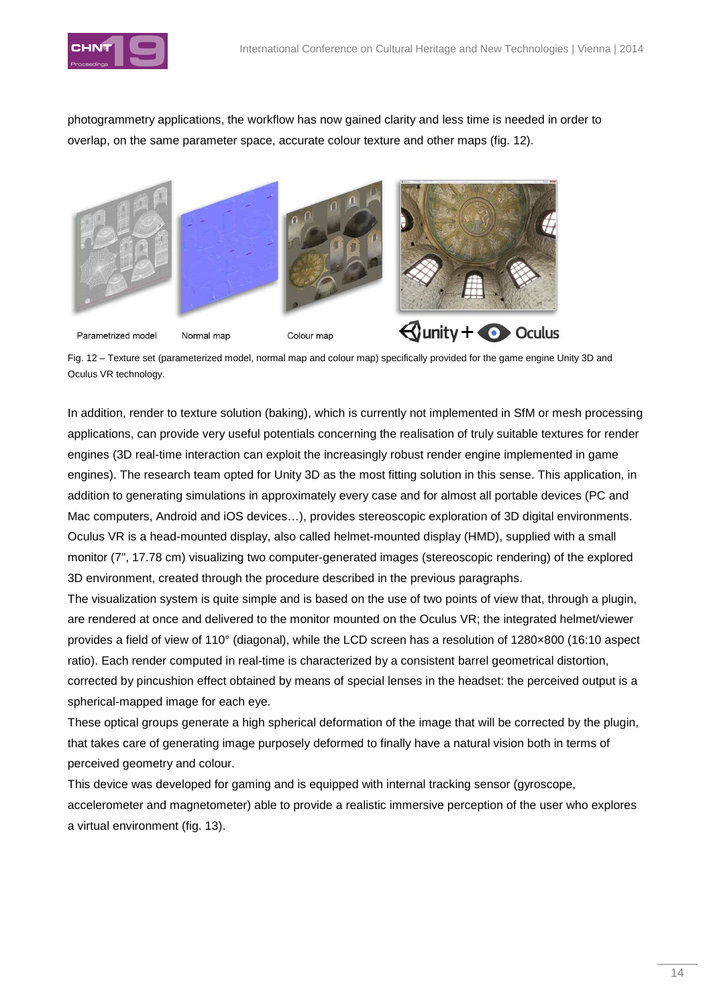

photogrammetry applications, the workflow has now gained clarity and less time is needed in order to overlap, on the same parameter space, accurate colour texture and other maps (fig. 12).



Fig. 12 – Texture set (parameterized model, normal map and colour map) specifically provided for the game engine Unity 3D and Oculus VR technology.

In addition, render to texture solution (baking), which is currently not implemented in SfM or mesh processing applications, can provide very useful potentials concerning the realisation of truly suitable textures for render engines (3D real-time interaction can exploit the increasingly robust render engine implemented in game engines). The research team opted for Unity 3D as the most fitting solution in this sense. This application, in addition to generating simulations in approximately every case and for almost all portable devices (PC and Mac computers, Android and iOS devices…), provides stereoscopic exploration of 3D digital environments. Oculus VR is a head-mounted display, also called helmet-mounted display (HMD), supplied with a small monitor (7", 17.78 cm) visualizing two computer-generated images (stereoscopic rendering) of the explored 3D environment, created through the procedure described in the previous paragraphs.

The visualization system is quite simple and is based on the use of two points of view that, through a plugin, are rendered at once and delivered to the monitor mounted on the Oculus VR; the integrated helmet/viewer provides a field of view of 110° (diagonal), while the LCD screen has a resolution of 1280×800 (16:10 aspect ratio). Each render computed in real-time is characterized by a consistent barrel geometrical distortion, corrected by pincushion effect obtained by means of special lenses in the headset: the perceived output is a spherical-mapped image for each eye.

These optical groups generate a high spherical deformation of the image that will be corrected by the plugin, that takes care of generating image purposely deformed to finally have a natural vision both in terms of perceived geometry and colour.

This device was developed for gaming and is equipped with internal tracking sensor (gyroscope, accelerometer and magnetometer) able to provide a realistic immersive perception of the user who explores a virtual environment (fig. 13).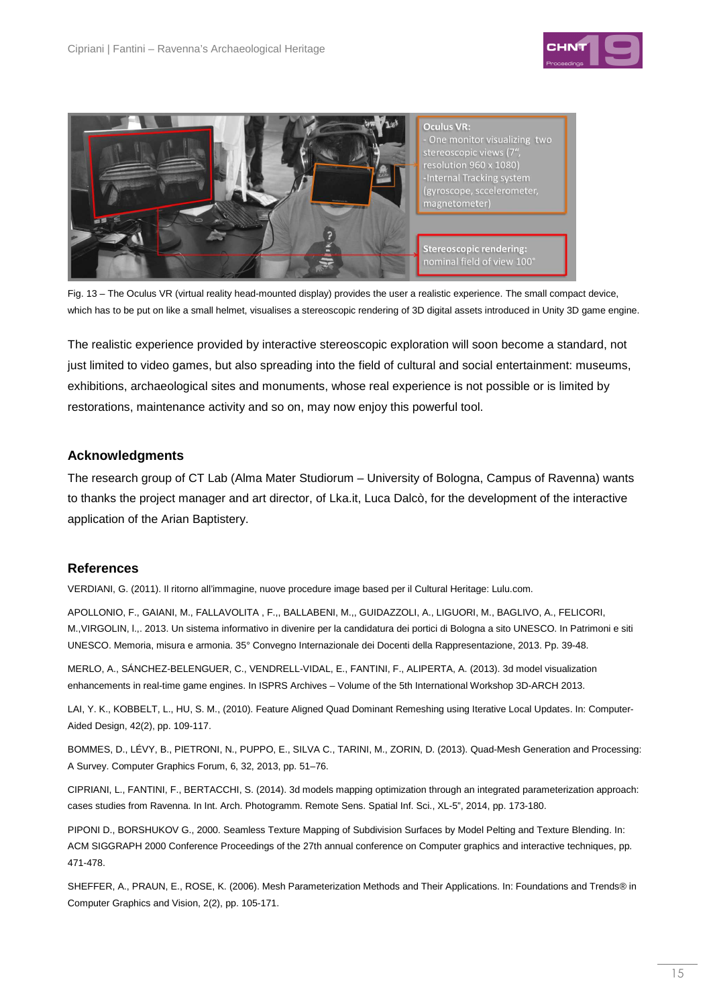



Fig. 13 – The Oculus VR (virtual reality head-mounted display) provides the user a realistic experience. The small compact device, which has to be put on like a small helmet, visualises a stereoscopic rendering of 3D digital assets introduced in Unity 3D game engine.

The realistic experience provided by interactive stereoscopic exploration will soon become a standard, not just limited to video games, but also spreading into the field of cultural and social entertainment: museums, exhibitions, archaeological sites and monuments, whose real experience is not possible or is limited by restorations, maintenance activity and so on, may now enjoy this powerful tool.

## **Acknowledgments**

The research group of CT Lab (Alma Mater Studiorum – University of Bologna, Campus of Ravenna) wants to thanks the project manager and art director, of Lka.it, Luca Dalcò, for the development of the interactive application of the Arian Baptistery.

#### **References**

VERDIANI, G. (2011). Il ritorno all'immagine, nuove procedure image based per il Cultural Heritage: Lulu.com.

APOLLONIO, F., GAIANI, M., FALLAVOLITA , F.,, BALLABENI, M.,, GUIDAZZOLI, A., LIGUORI, M., BAGLIVO, A., FELICORI, M.,VIRGOLIN, l.,. 2013. Un sistema informativo in divenire per la candidatura dei portici di Bologna a sito UNESCO. In Patrimoni e siti UNESCO. Memoria, misura e armonia. 35° Convegno Internazionale dei Docenti della Rappresentazione, 2013. Pp. 39-48.

MERLO, A., SÁNCHEZ-BELENGUER, C., VENDRELL-VIDAL, E., FANTINI, F., ALIPERTA, A. (2013). 3d model visualization enhancements in real-time game engines. In ISPRS Archives – Volume of the 5th International Workshop 3D-ARCH 2013.

LAI, Y. K., KOBBELT, L., HU, S. M., (2010). Feature Aligned Quad Dominant Remeshing using Iterative Local Updates. In: Computer-Aided Design, 42(2), pp. 109-117.

BOMMES, D., LÉVY, B., PIETRONI, N., PUPPO, E., SILVA C., TARINI, M., ZORIN, D. (2013). Quad-Mesh Generation and Processing: A Survey. Computer Graphics Forum, 6, 32, 2013, pp. 51–76.

CIPRIANI, L., FANTINI, F., BERTACCHI, S. (2014). 3d models mapping optimization through an integrated parameterization approach: cases studies from Ravenna. In Int. Arch. Photogramm. Remote Sens. Spatial Inf. Sci., XL-5", 2014, pp. 173-180.

PIPONI D., BORSHUKOV G., 2000. Seamless Texture Mapping of Subdivision Surfaces by Model Pelting and Texture Blending. In: ACM SIGGRAPH 2000 Conference Proceedings of the 27th annual conference on Computer graphics and interactive techniques, pp. 471-478.

SHEFFER, A., PRAUN, E., ROSE, K. (2006). Mesh Parameterization Methods and Their Applications. In: Foundations and Trends® in Computer Graphics and Vision, 2(2), pp. 105-171.